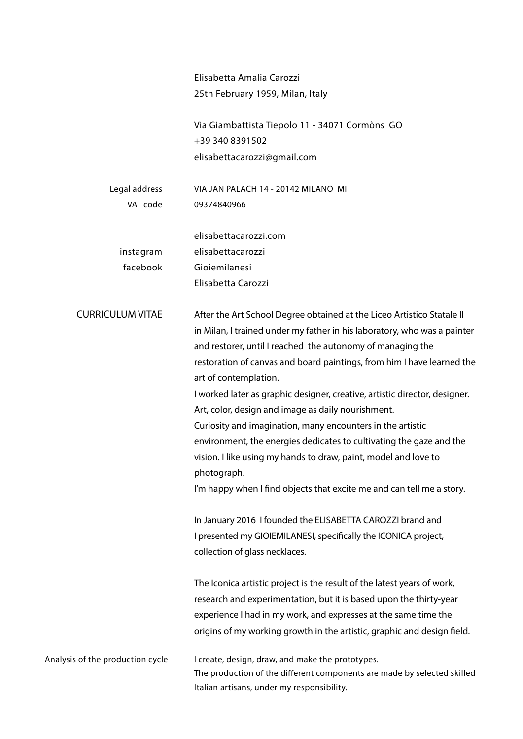|                                  | Elisabetta Amalia Carozzi<br>25th February 1959, Milan, Italy                                                                                                                                                                                                                                                                                                                                                                                                                                                                                                                                                                                                                                                                                           |
|----------------------------------|---------------------------------------------------------------------------------------------------------------------------------------------------------------------------------------------------------------------------------------------------------------------------------------------------------------------------------------------------------------------------------------------------------------------------------------------------------------------------------------------------------------------------------------------------------------------------------------------------------------------------------------------------------------------------------------------------------------------------------------------------------|
|                                  | Via Giambattista Tiepolo 11 - 34071 Cormòns GO<br>+39 340 8391502                                                                                                                                                                                                                                                                                                                                                                                                                                                                                                                                                                                                                                                                                       |
|                                  | elisabettacarozzi@gmail.com                                                                                                                                                                                                                                                                                                                                                                                                                                                                                                                                                                                                                                                                                                                             |
| Legal address                    | VIA JAN PALACH 14 - 20142 MILANO MI                                                                                                                                                                                                                                                                                                                                                                                                                                                                                                                                                                                                                                                                                                                     |
| VAT code                         | 09374840966                                                                                                                                                                                                                                                                                                                                                                                                                                                                                                                                                                                                                                                                                                                                             |
|                                  | elisabettacarozzi.com                                                                                                                                                                                                                                                                                                                                                                                                                                                                                                                                                                                                                                                                                                                                   |
| instagram                        | elisabettacarozzi                                                                                                                                                                                                                                                                                                                                                                                                                                                                                                                                                                                                                                                                                                                                       |
| facebook                         | Gioiemilanesi                                                                                                                                                                                                                                                                                                                                                                                                                                                                                                                                                                                                                                                                                                                                           |
|                                  | Elisabetta Carozzi                                                                                                                                                                                                                                                                                                                                                                                                                                                                                                                                                                                                                                                                                                                                      |
| <b>CURRICULUM VITAE</b>          | After the Art School Degree obtained at the Liceo Artistico Statale II<br>in Milan, I trained under my father in his laboratory, who was a painter<br>and restorer, until I reached the autonomy of managing the<br>restoration of canvas and board paintings, from him I have learned the<br>art of contemplation.<br>I worked later as graphic designer, creative, artistic director, designer.<br>Art, color, design and image as daily nourishment.<br>Curiosity and imagination, many encounters in the artistic<br>environment, the energies dedicates to cultivating the gaze and the<br>vision. I like using my hands to draw, paint, model and love to<br>photograph.<br>I'm happy when I find objects that excite me and can tell me a story. |
|                                  | In January 2016 I founded the ELISABETTA CAROZZI brand and                                                                                                                                                                                                                                                                                                                                                                                                                                                                                                                                                                                                                                                                                              |
|                                  | I presented my GIOIEMILANESI, specifically the ICONICA project,                                                                                                                                                                                                                                                                                                                                                                                                                                                                                                                                                                                                                                                                                         |
|                                  | collection of glass necklaces.                                                                                                                                                                                                                                                                                                                                                                                                                                                                                                                                                                                                                                                                                                                          |
|                                  | The Iconica artistic project is the result of the latest years of work,<br>research and experimentation, but it is based upon the thirty-year<br>experience I had in my work, and expresses at the same time the<br>origins of my working growth in the artistic, graphic and design field.                                                                                                                                                                                                                                                                                                                                                                                                                                                             |
| Analysis of the production cycle | I create, design, draw, and make the prototypes.<br>The production of the different components are made by selected skilled<br>Italian artisans, under my responsibility.                                                                                                                                                                                                                                                                                                                                                                                                                                                                                                                                                                               |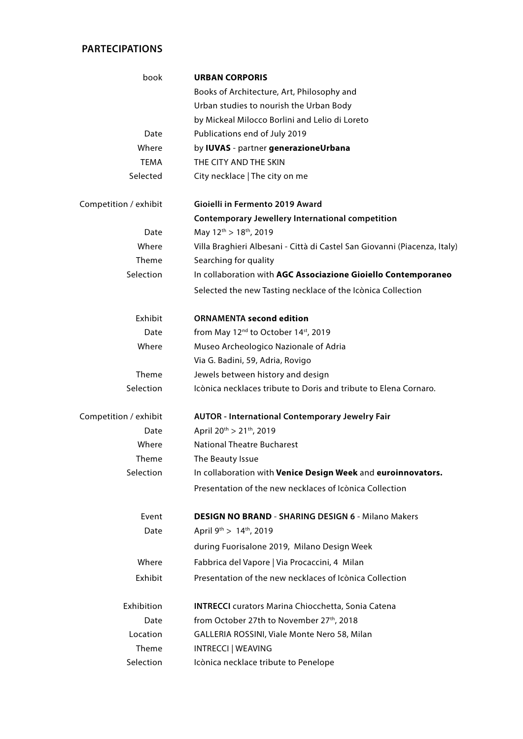## **PARTECIPATIONS**

| book                  | <b>URBAN CORPORIS</b>                                                     |
|-----------------------|---------------------------------------------------------------------------|
|                       | Books of Architecture, Art, Philosophy and                                |
|                       | Urban studies to nourish the Urban Body                                   |
|                       | by Mickeal Milocco Borlini and Lelio di Loreto                            |
| Date                  | Publications end of July 2019                                             |
| Where                 | by IUVAS - partner generazioneUrbana                                      |
| <b>TEMA</b>           | THE CITY AND THE SKIN                                                     |
| Selected              | City necklace   The city on me                                            |
| Competition / exhibit | Gioielli in Fermento 2019 Award                                           |
|                       | <b>Contemporary Jewellery International competition</b>                   |
| Date                  | May $12^{th}$ > $18^{th}$ , 2019                                          |
| Where                 | Villa Braghieri Albesani - Città di Castel San Giovanni (Piacenza, Italy) |
| Theme                 | Searching for quality                                                     |
| Selection             | In collaboration with AGC Associazione Gioiello Contemporaneo             |
|                       | Selected the new Tasting necklace of the Icònica Collection               |
| Exhibit               | <b>ORNAMENTA second edition</b>                                           |
| Date                  | from May 12 <sup>nd</sup> to October 14 <sup>st</sup> , 2019              |
| Where                 | Museo Archeologico Nazionale of Adria                                     |
|                       | Via G. Badini, 59, Adria, Rovigo                                          |
| Theme                 | Jewels between history and design                                         |
| Selection             | Icònica necklaces tribute to Doris and tribute to Elena Cornaro.          |
| Competition / exhibit | <b>AUTOR - International Contemporary Jewelry Fair</b>                    |
| Date                  | April 20 <sup>th</sup> > 21 <sup>th</sup> , 2019                          |
| Where                 | <b>National Theatre Bucharest</b>                                         |
| Theme                 | The Beauty Issue                                                          |
| Selection             | In collaboration with Venice Design Week and euroinnovators.              |
|                       | Presentation of the new necklaces of Icònica Collection                   |
| Event                 | <b>DESIGN NO BRAND - SHARING DESIGN 6 - Milano Makers</b>                 |
| Date                  | April $9^{th}$ > 14 <sup>th</sup> , 2019                                  |
|                       | during Fuorisalone 2019, Milano Design Week                               |
| Where                 | Fabbrica del Vapore   Via Procaccini, 4 Milan                             |
| Exhibit               | Presentation of the new necklaces of Icònica Collection                   |
| Exhibition            | <b>INTRECCI</b> curators Marina Chiocchetta, Sonia Catena                 |
| Date                  | from October 27th to November 27th, 2018                                  |
| Location              | GALLERIA ROSSINI, Viale Monte Nero 58, Milan                              |
| Theme                 | <b>INTRECCI   WEAVING</b>                                                 |
| Selection             | Icònica necklace tribute to Penelope                                      |
|                       |                                                                           |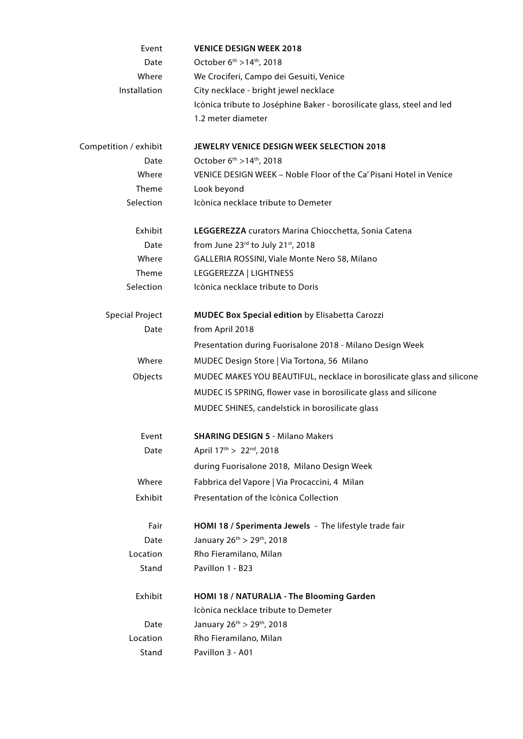| Event                  | <b>VENICE DESIGN WEEK 2018</b>                                         |  |
|------------------------|------------------------------------------------------------------------|--|
| Date                   | October 6 <sup>th</sup> > 14 <sup>th</sup> , 2018                      |  |
| Where                  | We Crociferi, Campo dei Gesuiti, Venice                                |  |
| Installation           | City necklace - bright jewel necklace                                  |  |
|                        | Icònica tribute to Joséphine Baker - borosilicate glass, steel and led |  |
|                        | 1.2 meter diameter                                                     |  |
| Competition / exhibit  | JEWELRY VENICE DESIGN WEEK SELECTION 2018                              |  |
| Date                   | October 6 <sup>th</sup> >14 <sup>th</sup> , 2018                       |  |
| Where                  | VENICE DESIGN WEEK - Noble Floor of the Ca' Pisani Hotel in Venice     |  |
| Theme                  | Look beyond                                                            |  |
| Selection              | Icònica necklace tribute to Demeter                                    |  |
| Exhibit                | LEGGEREZZA curators Marina Chiocchetta, Sonia Catena                   |  |
| Date                   | from June 23rd to July 21st, 2018                                      |  |
| Where                  | GALLERIA ROSSINI, Viale Monte Nero 58, Milano                          |  |
| Theme                  | LEGGEREZZA   LIGHTNESS                                                 |  |
| Selection              | Icònica necklace tribute to Doris                                      |  |
| <b>Special Project</b> | <b>MUDEC Box Special edition by Elisabetta Carozzi</b>                 |  |
| Date                   | from April 2018                                                        |  |
|                        | Presentation during Fuorisalone 2018 - Milano Design Week              |  |
| Where                  | MUDEC Design Store   Via Tortona, 56 Milano                            |  |
| Objects                | MUDEC MAKES YOU BEAUTIFUL, necklace in borosilicate glass and silicone |  |
|                        | MUDEC IS SPRING, flower vase in borosilicate glass and silicone        |  |
|                        | MUDEC SHINES, candelstick in borosilicate glass                        |  |
| Event                  | <b>SHARING DESIGN 5 - Milano Makers</b>                                |  |
| Date                   | April 17th > 22nd, 2018                                                |  |
|                        | during Fuorisalone 2018, Milano Design Week                            |  |
| Where                  | Fabbrica del Vapore   Via Procaccini, 4 Milan                          |  |
| Exhibit                | Presentation of the Icònica Collection                                 |  |
| Fair                   | HOMI 18 / Sperimenta Jewels - The lifestyle trade fair                 |  |
| Date                   | January 26th > 29th, 2018                                              |  |
| Location               | Rho Fieramilano, Milan                                                 |  |
| Stand                  | Pavillon 1 - B23                                                       |  |
| Exhibit                | HOMI 18 / NATURALIA - The Blooming Garden                              |  |
|                        | Icònica necklace tribute to Demeter                                    |  |
| Date                   | January 26 <sup>th</sup> > 29 <sup>th</sup> , 2018                     |  |
| Location               | Rho Fieramilano, Milan                                                 |  |
| Stand                  | Pavillon 3 - A01                                                       |  |
|                        |                                                                        |  |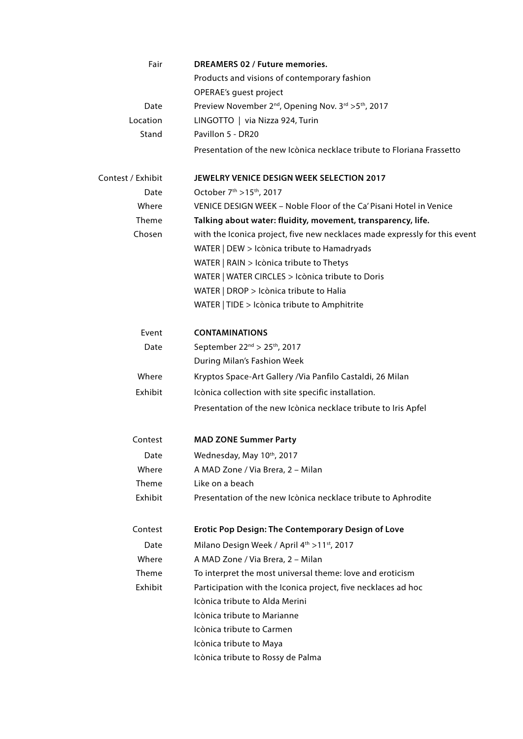| Fair              | <b>DREAMERS 02 / Future memories.</b>                                                    |  |
|-------------------|------------------------------------------------------------------------------------------|--|
|                   | Products and visions of contemporary fashion                                             |  |
|                   | OPERAE's guest project                                                                   |  |
| Date              | Preview November 2 <sup>nd</sup> , Opening Nov. 3 <sup>rd</sup> > 5 <sup>th</sup> , 2017 |  |
| Location          | LINGOTTO   via Nizza 924, Turin                                                          |  |
| Stand             | Pavillon 5 - DR20                                                                        |  |
|                   | Presentation of the new Icònica necklace tribute to Floriana Frassetto                   |  |
| Contest / Exhibit | <b>JEWELRY VENICE DESIGN WEEK SELECTION 2017</b>                                         |  |
| Date              | October 7 <sup>th</sup> > 15 <sup>th</sup> , 2017                                        |  |
| Where             | VENICE DESIGN WEEK - Noble Floor of the Ca' Pisani Hotel in Venice                       |  |
| Theme             | Talking about water: fluidity, movement, transparency, life.                             |  |
| Chosen            | with the Iconica project, five new necklaces made expressly for this event               |  |
|                   | WATER   DEW > Icònica tribute to Hamadryads                                              |  |
|                   | WATER   RAIN > Icònica tribute to Thetys                                                 |  |
|                   | WATER   WATER CIRCLES > Icònica tribute to Doris                                         |  |
|                   | WATER   DROP > Icònica tribute to Halia                                                  |  |
|                   | WATER   TIDE > Icònica tribute to Amphitrite                                             |  |
| Event             | <b>CONTAMINATIONS</b>                                                                    |  |
| Date              | September 22 <sup>nd</sup> > 25 <sup>th</sup> , 2017                                     |  |
|                   | During Milan's Fashion Week                                                              |  |
| Where             | Kryptos Space-Art Gallery /Via Panfilo Castaldi, 26 Milan                                |  |
| Exhibit           | Icònica collection with site specific installation.                                      |  |
|                   | Presentation of the new Icònica necklace tribute to Iris Apfel                           |  |
| Contest           | <b>MAD ZONE Summer Party</b>                                                             |  |
| Date              | Wednesday, May 10th, 2017                                                                |  |
| Where             | A MAD Zone / Via Brera, 2 - Milan                                                        |  |
| Theme             | Like on a beach                                                                          |  |
| Exhibit           | Presentation of the new Icònica necklace tribute to Aphrodite                            |  |
| Contest           | <b>Erotic Pop Design: The Contemporary Design of Love</b>                                |  |
| Date              | Milano Design Week / April 4th > 11st, 2017                                              |  |
| Where             | A MAD Zone / Via Brera, 2 - Milan                                                        |  |
| Theme             | To interpret the most universal theme: love and eroticism                                |  |
| Exhibit           | Participation with the Iconica project, five necklaces ad hoc                            |  |
|                   | Icònica tribute to Alda Merini                                                           |  |
|                   | Icònica tribute to Marianne                                                              |  |
|                   | Icònica tribute to Carmen                                                                |  |
|                   | Icònica tribute to Maya                                                                  |  |
|                   | Icònica tribute to Rossy de Palma                                                        |  |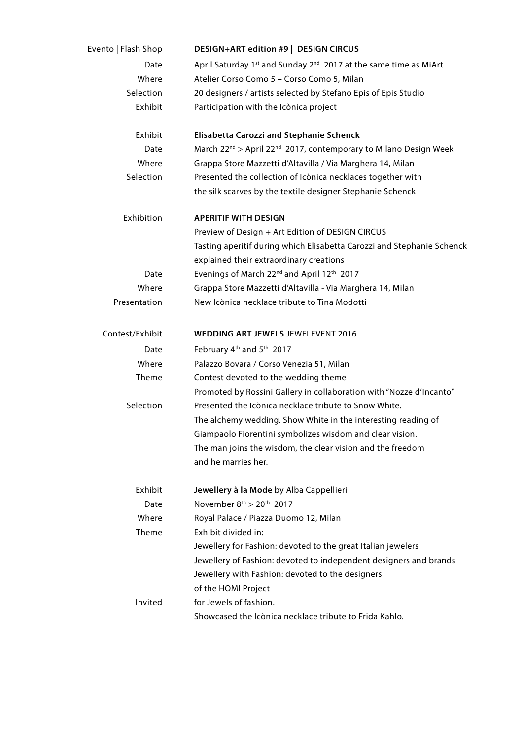| Evento   Flash Shop | DESIGN+ART edition #9   DESIGN CIRCUS                                                    |
|---------------------|------------------------------------------------------------------------------------------|
| Date                | April Saturday 1 <sup>st</sup> and Sunday 2 <sup>nd</sup> 2017 at the same time as MiArt |
| Where               | Atelier Corso Como 5 - Corso Como 5, Milan                                               |
| Selection           | 20 designers / artists selected by Stefano Epis of Epis Studio                           |
| Exhibit             | Participation with the Icònica project                                                   |
| Exhibit             | <b>Elisabetta Carozzi and Stephanie Schenck</b>                                          |
| Date                | March 22 <sup>nd</sup> > April 22 <sup>nd</sup> 2017, contemporary to Milano Design Week |
| Where               | Grappa Store Mazzetti d'Altavilla / Via Marghera 14, Milan                               |
| Selection           | Presented the collection of Icònica necklaces together with                              |
|                     | the silk scarves by the textile designer Stephanie Schenck                               |
| Exhibition          | <b>APERITIF WITH DESIGN</b>                                                              |
|                     | Preview of Design + Art Edition of DESIGN CIRCUS                                         |
|                     | Tasting aperitif during which Elisabetta Carozzi and Stephanie Schenck                   |
|                     | explained their extraordinary creations                                                  |
| Date                | Evenings of March 22 <sup>nd</sup> and April 12 <sup>th</sup> 2017                       |
| Where               | Grappa Store Mazzetti d'Altavilla - Via Marghera 14, Milan                               |
| Presentation        | New Icònica necklace tribute to Tina Modotti                                             |
| Contest/Exhibit     | <b>WEDDING ART JEWELS JEWELEVENT 2016</b>                                                |
| Date                | February 4 <sup>th</sup> and 5 <sup>th</sup> 2017                                        |
| Where               | Palazzo Bovara / Corso Venezia 51, Milan                                                 |
| Theme               | Contest devoted to the wedding theme                                                     |
|                     | Promoted by Rossini Gallery in collaboration with "Nozze d'Incanto"                      |
| Selection           | Presented the Icònica necklace tribute to Snow White.                                    |
|                     | The alchemy wedding. Show White in the interesting reading of                            |
|                     | Giampaolo Fiorentini symbolizes wisdom and clear vision                                  |
|                     | The man joins the wisdom, the clear vision and the freedom                               |
|                     | and he marries her.                                                                      |
| Exhibit             | Jewellery à la Mode by Alba Cappellieri                                                  |
| Date                | November $8^{th}$ > $20^{th}$ 2017                                                       |
| Where               | Royal Palace / Piazza Duomo 12, Milan                                                    |
| Theme               | Exhibit divided in:                                                                      |
|                     | Jewellery for Fashion: devoted to the great Italian jewelers                             |
|                     | Jewellery of Fashion: devoted to independent designers and brands                        |
|                     | Jewellery with Fashion: devoted to the designers                                         |
|                     | of the HOMI Project                                                                      |
| Invited             | for Jewels of fashion.                                                                   |
|                     | Showcased the Icònica necklace tribute to Frida Kahlo.                                   |